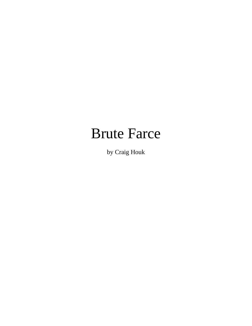# Brute Farce

by Craig Houk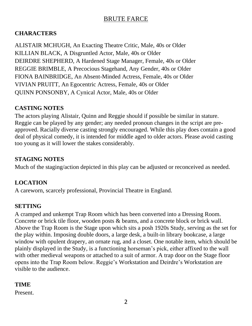#### **CHARACTERS**

ALISTAIR MCHUGH, An Exacting Theatre Critic, Male, 40s or Older KILLIAN BLACK, A Disgruntled Actor, Male, 40s or Older DEIRDRE SHEPHERD, A Hardened Stage Manager, Female, 40s or Older REGGIE BRIMBLE, A Precocious Stagehand, Any Gender, 40s or Older FIONA BAINBRIDGE, An Absent-Minded Actress, Female, 40s or Older VIVIAN PRUITT, An Egocentric Actress, Female, 40s or Older QUINN PONSONBY, A Cynical Actor, Male, 40s or Older

#### **CASTING NOTES**

The actors playing Alistair, Quinn and Reggie should if possible be similar in stature. Reggie can be played by any gender; any needed pronoun changes in the script are preapproved. Racially diverse casting strongly encouraged. While this play does contain a good deal of physical comedy, it is intended for middle aged to older actors. Please avoid casting too young as it will lower the stakes considerably.

#### **STAGING NOTES**

Much of the staging/action depicted in this play can be adjusted or reconceived as needed.

#### **LOCATION**

A careworn, scarcely professional, Provincial Theatre in England.

#### **SETTING**

A cramped and unkempt Trap Room which has been converted into a Dressing Room. Concrete or brick tile floor, wooden posts & beams, and a concrete block or brick wall. Above the Trap Room is the Stage upon which sits a posh 1920s Study, serving as the set for the play within. Imposing double doors, a large desk, a built-in library bookcase, a large window with opulent drapery, an ornate rug, and a closet. One notable item, which should be plainly displayed in the Study, is a functioning horseman's pick, either affixed to the wall with other medieval weapons or attached to a suit of armor. A trap door on the Stage floor opens into the Trap Room below. Reggie's Workstation and Deirdre's Workstation are visible to the audience.

#### **TIME**

Present.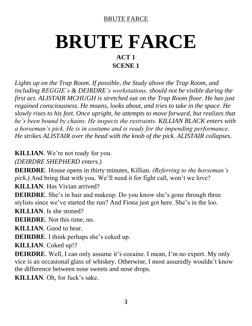# **BRUTE FARCE ACT 1 SCENE 1**

*Lights up on the Trap Room. If possible, the Study above the Trap Room, and including REGGIE's & DEIRDRE's workstations, should not be visible during the first act. ALISTAIR MCHUGH is stretched out on the Trap Room floor. He has just regained consciousness. He moans, looks about, and tries to take in the space. He slowly rises to his feet. Once upright, he attempts to move forward, but realizes that he's been bound by chains. He inspects the restraints. KILLIAN BLACK enters with a horseman's pick. He is in costume and is ready for the impending performance. He strikes ALISTAIR over the head with the knob of the pick. ALISTAIR collapses.*

**KILLIAN**. We're not ready for you.

*(DEIRDRE SHEPHERD enters.)*

**DEIRDRE**. House opens in thirty minutes, Killian. *(Referring to the horseman's pick.)* And bring that with you. We'll need it for fight call, won't we love?

**KILLIAN**. Has Vivian arrived?

**DEIRDRE**. She's in hair and makeup. Do you know she's gone through three stylists since we've started the run? And Fiona just got here. She's in the loo.

**KILLIAN**. Is she stoned?

**DEIRDRE**. Not this time, no.

**KILLIAN**. Good to hear.

**DEIRDRE**. I think perhaps she's coked up.

**KILLIAN**. Coked up!?

**DEIRDRE**. Well, I can only assume it's cocaine. I mean, I'm no expert. My only vice is an occasional glass of whiskey. Otherwise, I most assuredly wouldn't know the difference between nose sweets and nose drops.

**KILLIAN**. Oh, for fuck's sake.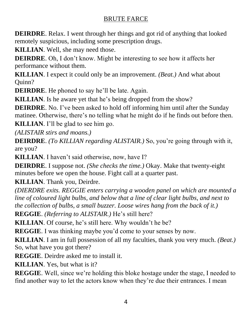**DEIRDRE**. Relax. I went through her things and got rid of anything that looked remotely suspicious, including some prescription drugs.

**KILLIAN**. Well, she may need those.

**DEIRDRE**. Oh, I don't know. Might be interesting to see how it affects her performance without them.

**KILLIAN**. I expect it could only be an improvement. *(Beat.)* And what about Quinn?

**DEIRDRE**. He phoned to say he'll be late. Again.

**KILLIAN**. Is he aware yet that he's being dropped from the show?

**DEIRDRE**. No. I've been asked to hold off informing him until after the Sunday matinee. Otherwise, there's no telling what he might do if he finds out before then.

**KILLIAN**. I'll be glad to see him go.

*(ALISTAIR stirs and moans.)*

**DEIRDRE**. *(To KILLIAN regarding ALISTAIR.)* So, you're going through with it, are you?

**KILLIAN**. I haven't said otherwise, now, have I?

**DEIRDRE**. I suppose not. *(She checks the time.)* Okay. Make that twenty-eight minutes before we open the house. Fight call at a quarter past.

**KILLIAN**. Thank you, Deirdre.

*(DIERDRE exits. REGGIE enters carrying a wooden panel on which are mounted a line of coloured light bulbs, and below that a line of clear light bulbs, and next to the collection of bulbs, a small buzzer. Loose wires hang from the back of it.)*

**REGGIE**. *(Referring to ALISTAIR.)* He's still here?

**KILLIAN**. Of course, he's still here. Why wouldn't he be?

**REGGIE**. I was thinking maybe you'd come to your senses by now.

**KILLIAN**. I am in full possession of all my faculties, thank you very much. *(Beat.)* So, what have you got there?

**REGGIE**. Deirdre asked me to install it.

**KILLIAN**. Yes, but what is it?

**REGGIE**. Well, since we're holding this bloke hostage under the stage, I needed to find another way to let the actors know when they're due their entrances. I mean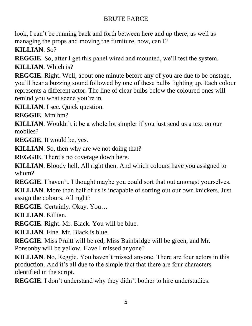look, I can't be running back and forth between here and up there, as well as managing the props and moving the furniture, now, can I?

**KILLIAN**. So?

**REGGIE**. So, after I get this panel wired and mounted, we'll test the system. **KILLIAN**. Which is?

**REGGIE**. Right. Well, about one minute before any of you are due to be onstage, you'll hear a buzzing sound followed by one of these bulbs lighting up. Each colour represents a different actor. The line of clear bulbs below the coloured ones will remind you what scene you're in.

**KILLIAN**. I see. Quick question.

**REGGIE**. Mm hm?

**KILLIAN**. Wouldn't it be a whole lot simpler if you just send us a text on our mobiles?

**REGGIE**. It would be, yes.

**KILLIAN**. So, then why are we not doing that?

**REGGIE**. There's no coverage down here.

**KILLIAN**. Bloody hell. All right then. And which colours have you assigned to whom?

**REGGIE**. I haven't. I thought maybe you could sort that out amongst yourselves. **KILLIAN**. More than half of us is incapable of sorting out our own knickers. Just

assign the colours. All right?

**REGGIE**. Certainly. Okay. You…

**KILLIAN**. Killian.

**REGGIE**. Right. Mr. Black. You will be blue.

**KILLIAN**. Fine. Mr. Black is blue.

**REGGIE**. Miss Pruitt will be red, Miss Bainbridge will be green, and Mr. Ponsonby will be yellow. Have I missed anyone?

**KILLIAN**. No, Reggie. You haven't missed anyone. There are four actors in this production. And it's all due to the simple fact that there are four characters identified in the script.

**REGGIE.** I don't understand why they didn't bother to hire understudies.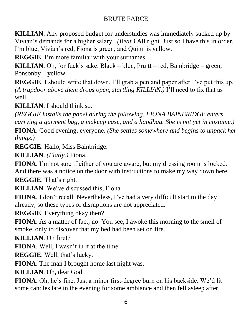**KILLIAN**. Any proposed budget for understudies was immediately sucked up by Vivian's demands for a higher salary. *(Beat.)* All right. Just so I have this in order. I'm blue, Vivian's red, Fiona is green, and Quinn is yellow.

**REGGIE**. I'm more familiar with your surnames.

**KILLIAN**. Oh, for fuck's sake. Black – blue, Pruitt – red, Bainbridge – green, Ponsonby – yellow.

**REGGIE**. I should write that down. I'll grab a pen and paper after I've put this up. *(A trapdoor above them drops open, startling KILLIAN.)* I'll need to fix that as well.

**KILLIAN**. I should think so.

*(REGGIE installs the panel during the following. FIONA BAINBRIDGE enters carrying a garment bag, a makeup case, and a handbag. She is not yet in costume.)*

**FIONA**. Good evening, everyone. *(She settles somewhere and begins to unpack her things.)*

**REGGIE**. Hallo, Miss Bainbridge.

**KILLIAN**. *(Flatly.)* Fiona.

**FIONA**. I'm not sure if either of you are aware, but my dressing room is locked. And there was a notice on the door with instructions to make my way down here.

**REGGIE**. That's right.

**KILLIAN**. We've discussed this, Fiona.

**FIONA**. I don't recall. Nevertheless, I've had a very difficult start to the day already, so these types of disruptions are not appreciated.

**REGGIE**. Everything okay then?

**FIONA**. As a matter of fact, no. You see, I awoke this morning to the smell of smoke, only to discover that my bed had been set on fire.

**KILLIAN**. On fire!?

**FIONA**. Well, I wasn't in it at the time.

**REGGIE**. Well, that's lucky.

**FIONA**. The man I brought home last night was.

**KILLIAN**. Oh, dear God.

**FIONA**. Oh, he's fine. Just a minor first-degree burn on his backside. We'd lit some candles late in the evening for some ambiance and then fell asleep after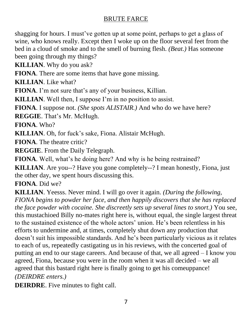shagging for hours. I must've gotten up at some point, perhaps to get a glass of wine, who knows really. Except then I woke up on the floor several feet from the bed in a cloud of smoke and to the smell of burning flesh. *(Beat.)* Has someone been going through my things?

**KILLIAN**. Why do you ask?

**FIONA**. There are some items that have gone missing.

**KILLIAN**. Like what?

**FIONA**. I'm not sure that's any of your business, Killian.

**KILLIAN**. Well then, I suppose I'm in no position to assist.

**FIONA**. I suppose not. *(She spots ALISTAIR.)* And who do we have here?

**REGGIE**. That's Mr. McHugh.

**FIONA**. Who?

**KILLIAN**. Oh, for fuck's sake, Fiona. Alistair McHugh.

**FIONA**. The theatre critic?

**REGGIE**. From the Daily Telegraph.

**FIONA**. Well, what's he doing here? And why is he being restrained?

**KILLIAN**. Are you--? Have you gone completely--? I mean honestly, Fiona, just the other day, we spent hours discussing this.

**FIONA**. Did we?

**KILLIAN**. Yeesss. Never mind. I will go over it again. *(During the following, FIONA begins to powder her face, and then happily discovers that she has replaced the face powder with cocaine. She discreetly sets up several lines to snort.)* You see, this mustachioed Billy no-mates right here is, without equal, the single largest threat to the sustained existence of the whole actors' union. He's been relentless in his efforts to undermine and, at times, completely shut down any production that doesn't suit his impossible standards. And he's been particularly vicious as it relates to each of us, repeatedly castigating us in his reviews, with the concerted goal of putting an end to our stage careers. And because of that, we all agreed – I know you agreed, Fiona, because you were in the room when it was all decided – we all agreed that this bastard right here is finally going to get his comeuppance! *(DEIRDRE enters.)*

**DEIRDRE**. Five minutes to fight call.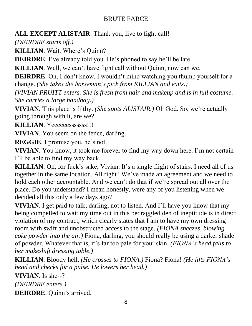**ALL EXCEPT ALISTAIR**. Thank you, five to fight call!

*(DEIRDRE starts off.)*

**KILLIAN**. Wait. Where's Quinn?

**DEIRDRE**. I've already told you. He's phoned to say he'll be late.

**KILLIAN**. Well, we can't have fight call without Quinn, now can we.

**DEIRDRE**. Oh, I don't know. I wouldn't mind watching you thump yourself for a change. *(She takes the horseman's pick from KILLIAN and exits.)*

*(VIVIAN PRUITT enters. She is fresh from hair and makeup and is in full costume. She carries a large handbag.)*

**VIVIAN**. This place is filthy. *(She spots ALISTAIR.)* Oh God. So, we're actually going through with it, are we?

**KILLIAN**. Yeeeeeesssssss!!!

**VIVIAN**. You seem on the fence, darling.

**REGGIE**. I promise you, he's not.

**VIVIAN**. You know, it took me forever to find my way down here. I'm not certain I'll be able to find my way back.

**KILLIAN**. Oh, for fuck's sake, Vivian. It's a single flight of stairs. I need all of us together in the same location. All right? We've made an agreement and we need to hold each other accountable. And we can't do that if we're spread out all over the place. Do you understand? I mean honestly, were any of you listening when we decided all this only a few days ago?

**VIVIAN**. I get paid to talk, darling, not to listen. And I'll have you know that my being compelled to wait my time out in this bedraggled den of ineptitude is in direct violation of my contract, which clearly states that I am to have my own dressing room with swift and unobstructed access to the stage. *(FIONA sneezes, blowing coke powder into the air.)* Fiona, darling, you should really be using a darker shade of powder. Whatever that is, it's far too pale for your skin. *(FIONA's head falls to her makeshift dressing table.)*

**KILLIAN**. Bloody hell. *(He crosses to FIONA.)* Fiona? Fiona! *(He lifts FIONA's head and checks for a pulse. He lowers her head.)*

**VIVIAN**. Is she--?

*(DEIRDRE enters.)*

**DEIRDRE**. Quinn's arrived.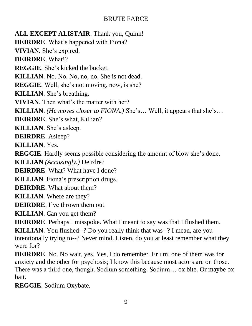**ALL EXCEPT ALISTAIR**. Thank you, Quinn! **DEIRDRE**. What's happened with Fiona? **VIVIAN**. She's expired. **DEIRDRE**. What!? **REGGIE**. She's kicked the bucket. **KILLIAN**. No. No. No, no, no. She is not dead. **REGGIE**. Well, she's not moving, now, is she? **KILLIAN**. She's breathing. **VIVIAN**. Then what's the matter with her? **KILLIAN**. *(He moves closer to FIONA.)* She's… Well, it appears that she's… **DEIRDRE**. She's what, Killian? **KILLIAN**. She's asleep. **DEIRDRE**. Asleep? **KILLIAN**. Yes. **REGGIE**. Hardly seems possible considering the amount of blow she's done. **KILLIAN** *(Accusingly.)* Deirdre? **DEIRDRE**. What? What have I done? **KILLIAN**. Fiona's prescription drugs. **DEIRDRE**. What about them? **KILLIAN**. Where are they? **DEIRDRE**. I've thrown them out. **KILLIAN**. Can you get them? **DEIRDRE**. Perhaps I misspoke. What I meant to say was that I flushed them. **KILLIAN**. You flushed--? Do you really think that was--? I mean, are you intentionally trying to--? Never mind. Listen, do you at least remember what they were for?

**DEIRDRE**. No. No wait, yes. Yes, I do remember. Er um, one of them was for anxiety and the other for psychosis; I know this because most actors are on those. There was a third one, though. Sodium something. Sodium… ox bite. Or maybe ox bait.

**REGGIE**. Sodium Oxybate.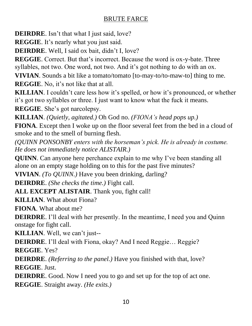**DEIRDRE**. Isn't that what I just said, love?

**REGGIE**. It's nearly what you just said.

**DEIRDRE**. Well, I said ox bait, didn't I, love?

**REGGIE**. Correct. But that's incorrect. Because the word is ox-y-bate. Three syllables, not two. One word, not two. And it's got nothing to do with an ox.

**VIVIAN**. Sounds a bit like a tomato/tomato [to-may-to/to-maw-to] thing to me.

**REGGIE**. No, it's not like that at all.

**KILLIAN**. I couldn't care less how it's spelled, or how it's pronounced, or whether it's got two syllables or three. I just want to know what the fuck it means.

**REGGIE**. She's got narcolepsy.

**KILLIAN**. *(Quietly, agitated.)* Oh God no. *(FIONA's head pops up.)*

**FIONA**. Except then I woke up on the floor several feet from the bed in a cloud of smoke and to the smell of burning flesh.

*(QUINN PONSONBY enters with the horseman's pick. He is already in costume. He does not immediately notice ALISTAIR.)*

**QUINN**. Can anyone here perchance explain to me why I've been standing all alone on an empty stage holding on to this for the past five minutes?

**VIVIAN**. *(To QUINN.)* Have you been drinking, darling?

**DEIRDRE**. *(She checks the time.)* Fight call.

**ALL EXCEPT ALISTAIR**. Thank you, fight call!

**KILLIAN**. What about Fiona?

**FIONA**. What about me?

**DEIRDRE**. I'll deal with her presently. In the meantime, I need you and Quinn onstage for fight call.

**KILLIAN**. Well, we can't just--

**DEIRDRE**. I'll deal with Fiona, okay? And I need Reggie... Reggie?

**REGGIE**. Yes?

**DEIRDRE**. *(Referring to the panel.)* Have you finished with that, love? **REGGIE**. Just.

**DEIRDRE**. Good. Now I need you to go and set up for the top of act one. **REGGIE**. Straight away. *(He exits.)*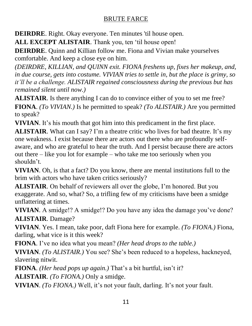**DEIRDRE**. Right. Okay everyone. Ten minutes 'til house open.

**ALL EXCEPT ALISTAIR**. Thank you, ten 'til house open!

**DEIRDRE**. Quinn and Killian follow me. Fiona and Vivian make yourselves comfortable. And keep a close eye on him.

*(DEIRDRE, KILLIAN, and QUINN exit. FIONA freshens up, fixes her makeup, and, in due course, gets into costume. VIVIAN tries to settle in, but the place is grimy, so it'll be a challenge. ALISTAIR regained consciousness during the previous but has remained silent until now.)*

**ALISTAIR**. Is there anything I can do to convince either of you to set me free? **FIONA**. *(To VIVIAN.)* Is he permitted to speak? *(To ALISTAIR.)* Are you permitted to speak?

**VIVIAN**. It's his mouth that got him into this predicament in the first place.

**ALISTAIR**. What can I say? I'm a theatre critic who lives for bad theatre. It's my one weakness. I exist because there are actors out there who are profoundly selfaware, and who are grateful to hear the truth. And I persist because there are actors out there – like you lot for example – who take me too seriously when you shouldn't.

**VIVIAN**. Oh, is that a fact? Do you know, there are mental institutions full to the brim with actors who have taken critics seriously?

**ALISTAIR**. On behalf of reviewers all over the globe, I'm honored. But you exaggerate. And so, what? So, a trifling few of my criticisms have been a smidge unflattering at times.

**VIVIAN.** A smidge!? A smidge!? Do you have any idea the damage you've done? **ALISTAIR**. Damage?

**VIVIAN**. Yes. I mean, take poor, daft Fiona here for example. *(To FIONA.)* Fiona, darling, what vice is it this week?

**FIONA**. I've no idea what you mean? *(Her head drops to the table.)*

**VIVIAN**. *(To ALISTAIR.)* You see? She's been reduced to a hopeless, hackneyed, slavering nitwit.

**FIONA**. *(Her head pops up again.)* That's a bit hurtful, isn't it?

**ALISTAIR**. *(To FIONA.)* Only a smidge.

**VIVIAN**. *(To FIONA.)* Well, it's not your fault, darling. It's not your fault.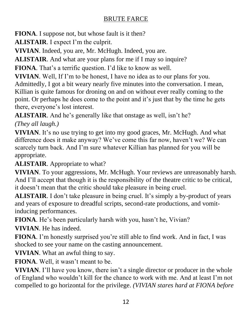**FIONA**. I suppose not, but whose fault is it then?

**ALISTAIR**. I expect I'm the culprit.

**VIVIAN**. Indeed, you are, Mr. McHugh. Indeed, you are.

**ALISTAIR**. And what are your plans for me if I may so inquire?

**FIONA**. That's a terrific question. I'd like to know as well.

**VIVIAN**. Well, If I'm to be honest, I have no idea as to our plans for you.

Admittedly, I got a bit weary nearly five minutes into the conversation. I mean, Killian is quite famous for droning on and on without ever really coming to the point. Or perhaps he does come to the point and it's just that by the time he gets there, everyone's lost interest.

**ALISTAIR**. And he's generally like that onstage as well, isn't he?

*(They all laugh.)*

**VIVIAN**. It's no use trying to get into my good graces, Mr. McHugh. And what difference does it make anyway? We've come this far now, haven't we? We can scarcely turn back. And I'm sure whatever Killian has planned for you will be appropriate.

**ALISTAIR**. Appropriate to what?

**VIVIAN**. To your aggressions, Mr. McHugh. Your reviews are unreasonably harsh. And I'll accept that though it is the responsibility of the theatre critic to be critical, it doesn't mean that the critic should take pleasure in being cruel.

**ALISTAIR**. I don't take pleasure in being cruel. It's simply a by-product of years and years of exposure to dreadful scripts, second-rate productions, and vomitinducing performances.

**FIONA**. He's been particularly harsh with you, hasn't he, Vivian?

**VIVIAN**. He has indeed.

**FIONA**. I'm honestly surprised you're still able to find work. And in fact, I was shocked to see your name on the casting announcement.

**VIVIAN**. What an awful thing to say.

**FIONA**. Well, it wasn't meant to be.

**VIVIAN**. I'll have you know, there isn't a single director or producer in the whole of England who wouldn't kill for the chance to work with me. And at least I'm not compelled to go horizontal for the privilege. *(VIVIAN stares hard at FIONA before*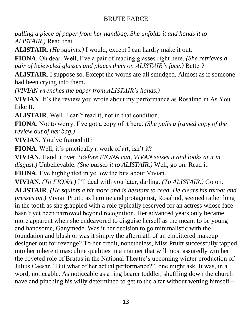*pulling a piece of paper from her handbag. She unfolds it and hands it to ALISTAIR.)* Read that.

**ALISTAIR**. *(He squints.)* I would, except I can hardly make it out.

**FIONA**. Oh dear. Well, I've a pair of reading glasses right here. *(She retrieves a pair of bejeweled glasses and places them on ALISTAIR's face.)* Better?

**ALISTAIR**. I suppose so. Except the words are all smudged. Almost as if someone had been crying into them.

*(VIVIAN wrenches the paper from ALISTAIR's hands.)*

**VIVIAN**. It's the review you wrote about my performance as Rosalind in As You Like It.

**ALISTAIR**. Well, I can't read it, not in that condition.

**FIONA**. Not to worry. I've got a copy of it here. *(She pulls a framed copy of the review out of her bag.)*

**VIVIAN**. You've framed it!?

**FIONA**. Well, it's practically a work of art, isn't it?

**VIVIAN**. Hand it over. *(Before FIONA can, VIVAN seizes it and looks at it in disgust.)* Unbelievable. *(She passes it to ALISTAIR.)* Well, go on. Read it.

**FIONA**. I've highlighted in yellow the bits about Vivian.

**VIVIAN**. *(To FIONA.)* I'll deal with you later, darling. *(To ALISTAIR.)* Go on.

**ALISTAIR**. *(He squints a bit more and is hesitant to read. He clears his throat and presses on.)* Vivian Pruitt, as heroine and protagonist, Rosalind, seemed rather long in the tooth as she grappled with a role typically reserved for an actress whose face hasn't yet been narrowed beyond recognition. Her advanced years only became more apparent when she endeavored to disguise herself as the meant to be young and handsome, Ganymede. Was it her decision to go minimalistic with the foundation and blush or was it simply the aftermath of an embittered makeup designer out for revenge? To her credit, nonetheless, Miss Pruitt successfully tapped into her inherent masculine qualities in a manner that will most assuredly win her the coveted role of Brutus in the National Theatre's upcoming winter production of Julius Caesar. "But what of her actual performance?", one might ask. It was, in a word, noticeable. As noticeable as a ring bearer toddler, shuffling down the church nave and pinching his willy determined to get to the altar without wetting himself--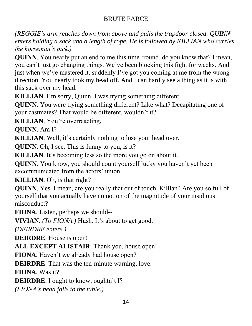*(REGGIE's arm reaches down from above and pulls the trapdoor closed. QUINN enters holding a sack and a length of rope. He is followed by KILLIAN who carries the horseman's pick.)*

**QUINN**. You nearly put an end to me this time 'round, do you know that? I mean, you can't just go changing things. We've been blocking this fight for weeks. And just when we've mastered it, suddenly I've got you coming at me from the wrong direction. You nearly took my head off. And I can hardly see a thing as it is with this sack over my head.

**KILLIAN**. I'm sorry, Quinn. I was trying something different.

**QUINN.** You were trying something different? Like what? Decapitating one of your castmates? That would be different, wouldn't it?

**KILLIAN**. You're overreacting.

**QUINN**. Am I?

**KILLIAN**. Well, it's certainly nothing to lose your head over.

**QUINN**. Oh, I see. This is funny to you, is it?

**KILLIAN**. It's becoming less so the more you go on about it.

**QUINN**. You know, you should count yourself lucky you haven't yet been excommunicated from the actors' union.

**KILLIAN**. Oh, is that right?

**QUINN**. Yes. I mean, are you really that out of touch, Killian? Are you so full of yourself that you actually have no notion of the magnitude of your insidious misconduct?

**FIONA**. Listen, perhaps we should--

**VIVIAN**. *(To FIONA.)* Hush. It's about to get good.

*(DEIRDRE enters.)*

**DEIRDRE**. House is open!

**ALL EXCEPT ALISTAIR**. Thank you, house open!

**FIONA**. Haven't we already had house open?

**DEIRDRE**. That was the ten-minute warning, love.

**FIONA**. Was it?

**DEIRDRE**. I ought to know, oughtn't I?

*(FIONA's head falls to the table.)*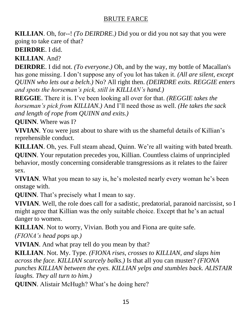**KILLIAN**. Oh, for--! *(To DEIRDRE.)* Did you or did you not say that you were going to take care of that?

**DEIRDRE**. I did.

**KILLIAN**. And?

**DEIRDRE**. I did not. *(To everyone.)* Oh, and by the way, my bottle of Macallan's has gone missing. I don't suppose any of you lot has taken it. *(All are silent, except QUINN who lets out a belch.)* No? All right then. *(DEIRDRE exits. REGGIE enters and spots the horseman's pick, still in KILLIAN's hand.)*

**REGGIE**. There it is. I've been looking all over for that. *(REGGIE takes the horseman's pick from KILLIAN.)* And I'll need those as well. *(He takes the sack and length of rope from QUINN and exits.)*

**QUINN**. Where was I?

**VIVIAN**. You were just about to share with us the shameful details of Killian's reprehensible conduct.

**KILLIAN**. Oh, yes. Full steam ahead, Quinn. We're all waiting with bated breath. **QUINN**. Your reputation precedes you, Killian. Countless claims of unprincipled behavior, mostly concerning considerable transgressions as it relates to the fairer sex.

**VIVIAN**. What you mean to say is, he's molested nearly every woman he's been onstage with.

**QUINN**. That's precisely what I mean to say.

**VIVIAN**. Well, the role does call for a sadistic, predatorial, paranoid narcissist, so I might agree that Killian was the only suitable choice. Except that he's an actual danger to women.

**KILLIAN**. Not to worry, Vivian. Both you and Fiona are quite safe.

*(FIONA's head pops up.)*

**VIVIAN**. And what pray tell do you mean by that?

**KILLIAN**. Not. My. Type. *(FIONA rises, crosses to KILLIAN, and slaps him across the face. KILLIAN scarcely balks.)* Is that all you can muster? *(FIONA punches KILLIAN between the eyes. KILLIAN yelps and stumbles back. ALISTAIR laughs. They all turn to him.)* 

**QUINN**. Alistair McHugh? What's he doing here?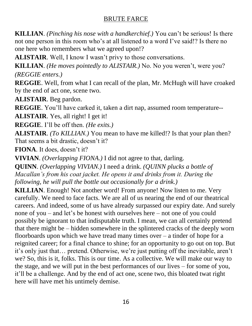**KILLIAN**. *(Pinching his nose with a handkerchief.)* You can't be serious! Is there not one person in this room who's at all listened to a word I've said!? Is there no one here who remembers what we agreed upon!?

**ALISTAIR**. Well, I know I wasn't privy to those conversations.

**KILLIAN**. *(He moves pointedly to ALISTAIR.)* No. No you weren't, were you? *(REGGIE enters.)*

**REGGIE**. Well, from what I can recall of the plan, Mr. McHugh will have croaked by the end of act one, scene two.

**ALISTAIR**. Beg pardon.

**REGGIE**. You'll have carked it, taken a dirt nap, assumed room temperature--

**ALISTAIR**. Yes, all right! I get it!

**REGGIE**. I'll be off then. *(He exits.)*

**ALISTAIR**. *(To KILLIAN.)* You mean to have me killed!? Is that your plan then? That seems a bit drastic, doesn't it?

**FIONA**. It does, doesn't it?

**VIVIAN**. *(Overlapping FIONA.)* I did not agree to that, darling.

**QUINN**. *(Overlapping VIVIAN.)* I need a drink. *(QUINN plucks a bottle of Macallan's from his coat jacket. He opens it and drinks from it. During the following, he will pull the bottle out occasionally for a drink.)*

**KILLIAN**. Enough! Not another word! From anyone! Now listen to me. Very carefully. We need to face facts. We are all of us nearing the end of our theatrical careers. And indeed, some of us have already surpassed our expiry date. And surely none of you – and let's be honest with ourselves here – not one of you could possibly be ignorant to that indisputable truth. I mean, we can all certainly pretend that there might be – hidden somewhere in the splintered cracks of the deeply worn floorboards upon which we have tread many times over  $-$  a tinder of hope for a reignited career; for a final chance to shine; for an opportunity to go out on top. But it's only just that… pretend. Otherwise, we're just putting off the inevitable, aren't we? So, this is it, folks. This is our time. As a collective. We will make our way to the stage, and we will put in the best performances of our lives – for some of you, it'll be a challenge. And by the end of act one, scene two, this bloated twat right here will have met his untimely demise.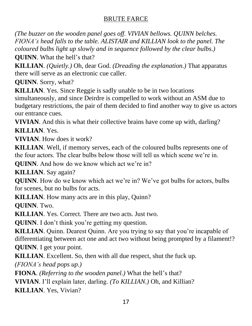*(The buzzer on the wooden panel goes off. VIVIAN bellows. QUINN belches. FIONA's head falls to the table. ALISTAIR and KILLIAN look to the panel. The coloured bulbs light up slowly and in sequence followed by the clear bulbs.)* 

**QUINN**. What the hell's that?

**KILLIAN**. *(Quietly.)* Oh, dear God. *(Dreading the explanation.)* That apparatus there will serve as an electronic cue caller.

**QUINN**. Sorry, what?

**KILLIAN**. Yes. Since Reggie is sadly unable to be in two locations

simultaneously, and since Deirdre is compelled to work without an ASM due to budgetary restrictions, the pair of them decided to find another way to give us actors our entrance cues.

**VIVIAN**. And this is what their collective brains have come up with, darling? **KILLIAN**. Yes.

**VIVIAN**. How does it work?

**KILLIAN**. Well, if memory serves, each of the coloured bulbs represents one of the four actors. The clear bulbs below those will tell us which scene we're in.

**QUINN**. And how do we know which act we're in?

**KILLIAN**. Say again?

**QUINN**. How do we know which act we're in? We've got bulbs for actors, bulbs for scenes, but no bulbs for acts.

**KILLIAN**. How many acts are in this play, Quinn?

**QUINN**. Two.

**KILLIAN**. Yes. Correct. There are two acts. Just two.

**QUINN**. I don't think you're getting my question.

**KILLIAN**. Quinn. Dearest Quinn. Are you trying to say that you're incapable of differentiating between act one and act two without being prompted by a filament!?

**QUINN**. I get your point.

**KILLIAN**. Excellent. So, then with all due respect, shut the fuck up.

*(FIONA's head pops up.)*

**FIONA**. *(Referring to the wooden panel.)* What the hell's that?

**VIVIAN**. I'll explain later, darling. *(To KILLIAN.)* Oh, and Killian?

**KILLIAN**. Yes, Vivian?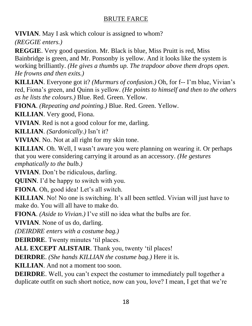**VIVIAN**. May I ask which colour is assigned to whom?

*(REGGIE enters.)*

**REGGIE**. Very good question. Mr. Black is blue, Miss Pruitt is red, Miss Bainbridge is green, and Mr. Ponsonby is yellow. And it looks like the system is working brilliantly. *(He gives a thumbs up. The trapdoor above them drops open. He frowns and then exits.)*

**KILLIAN**. Everyone got it? *(Murmurs of confusion.)* Oh, for f-- I'm blue, Vivian's red, Fiona's green, and Quinn is yellow. *(He points to himself and then to the others as he lists the colours.)* Blue. Red. Green. Yellow.

**FIONA**. *(Repeating and pointing.)* Blue. Red. Green. Yellow.

**KILLIAN**. Very good, Fiona.

**VIVIAN**. Red is not a good colour for me, darling.

**KILLIAN**. *(Sardonically.)* Isn't it?

**VIVIAN**. No. Not at all right for my skin tone.

**KILLIAN**. Oh. Well, I wasn't aware you were planning on wearing it. Or perhaps that you were considering carrying it around as an accessory. *(He gestures emphatically to the bulb.)*

**VIVIAN**. Don't be ridiculous, darling.

**QUINN**. I'd be happy to switch with you.

**FIONA**. Oh, good idea! Let's all switch.

**KILLIAN**. No! No one is switching. It's all been settled. Vivian will just have to make do. You will all have to make do.

**FIONA**. *(Aside to Vivian.)* I've still no idea what the bulbs are for.

**VIVIAN**. None of us do, darling.

*(DEIRDRE enters with a costume bag.)*

**DEIRDRE**. Twenty minutes 'til places.

**ALL EXCEPT ALISTAIR**. Thank you, twenty 'til places!

**DEIRDRE**. *(She hands KILLIAN the costume bag.)* Here it is.

**KILLIAN**. And not a moment too soon.

**DEIRDRE**. Well, you can't expect the costumer to immediately pull together a duplicate outfit on such short notice, now can you, love? I mean, I get that we're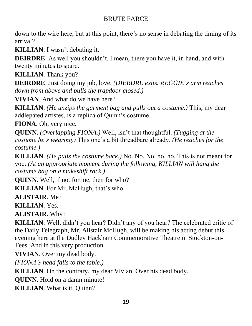down to the wire here, but at this point, there's no sense in debating the timing of its arrival?

**KILLIAN**. I wasn't debating it.

**DEIRDRE**. As well you shouldn't. I mean, there you have it, in hand, and with twenty minutes to spare.

**KILLIAN**. Thank you?

**DEIRDRE**. Just doing my job, love. *(DIERDRE exits. REGGIE's arm reaches down from above and pulls the trapdoor closed.)*

**VIVIAN**. And what do we have here?

**KILLIAN**. *(He unzips the garment bag and pulls out a costume.)* This, my dear addlepated artistes, is a replica of Quinn's costume.

**FIONA**. Oh, very nice.

**QUINN**. *(Overlapping FIONA.)* Well, isn't that thoughtful. *(Tugging at the costume he's wearing.)* This one's a bit threadbare already. *(He reaches for the costume.)*

**KILLIAN**. *(He pulls the costume back.)* No. No. No, no, no. This is not meant for you. *(At an appropriate moment during the following, KILLIAN will hang the costume bag on a makeshift rack.)*

**QUINN**. Well, if not for me, then for who?

**KILLIAN**. For Mr. McHugh, that's who.

**ALISTAIR**. Me?

**KILLIAN**. Yes.

**ALISTAIR**. Why?

**KILLIAN**. Well, didn't you hear? Didn't any of you hear? The celebrated critic of the Daily Telegraph, Mr. Alistair McHugh, will be making his acting debut this evening here at the Dudley Hackham Commemorative Theatre in Stockton-on-Tees. And in this very production.

**VIVIAN**. Over my dead body.

*(FIONA's head falls to the table.)*

**KILLIAN**. On the contrary, my dear Vivian. Over his dead body.

**QUINN**. Hold on a damn minute!

**KILLIAN**. What is it, Quinn?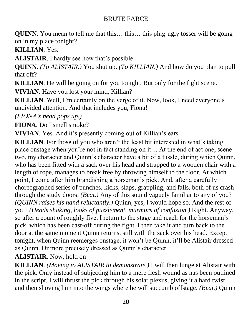**QUINN**. You mean to tell me that this... this... this plug-ugly tosser will be going on in my place tonight?

**KILLIAN**. Yes.

**ALISTAIR**. I hardly see how that's possible.

**QUINN**. *(To ALISTAIR.)* You shut up. *(To KILLIAN.)* And how do you plan to pull that off?

**KILLIAN**. He will be going on for you tonight. But only for the fight scene.

**VIVIAN**. Have you lost your mind, Killian?

**KILLIAN**. Well, I'm certainly on the verge of it. Now, look, I need everyone's undivided attention. And that includes you, Fiona!

*(FIONA's head pops up.)*

**FIONA**. Do I smell smoke?

**VIVIAN**. Yes. And it's presently coming out of Killian's ears.

**KILLIAN**. For those of you who aren't the least bit interested in what's taking place onstage when you're not in fact standing on it… At the end of act one, scene two, my character and Quinn's character have a bit of a tussle, during which Quinn, who has been fitted with a sack over his head and strapped to a wooden chair with a length of rope, manages to break free by throwing himself to the floor. At which point, I come after him brandishing a horseman's pick. And, after a carefully choreographed series of punches, kicks, slaps, grappling, and falls, both of us crash through the study doors. *(Beat.)* Any of this sound vaguely familiar to any of you? *(QUINN raises his hand reluctantly.)* Quinn, yes, I would hope so. And the rest of you? *(Heads shaking, looks of puzzlement, murmurs of confusion.)* Right. Anyway, so after a count of roughly five, I return to the stage and reach for the horseman's pick, which has been cast-off during the fight. I then take it and turn back to the door at the same moment Quinn returns, still with the sack over his head. Except tonight, when Quinn reemerges onstage, it won't be Quinn, it'll be Alistair dressed as Quinn. Or more precisely dressed as Quinn's character.

**ALISTAIR**. Now, hold on--

**KILLIAN**. *(Moving to ALISTAIR to demonstrate.)* I will then lunge at Alistair with the pick. Only instead of subjecting him to a mere flesh wound as has been outlined in the script, I will thrust the pick through his solar plexus, giving it a hard twist, and then shoving him into the wings where he will succumb offstage. *(Beat.)* Quinn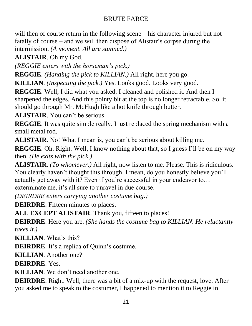will then of course return in the following scene – his character injured but not fatally of course – and we will then dispose of Alistair's corpse during the intermission. *(A moment. All are stunned.)*

**ALISTAIR**. Oh my God.

*(REGGIE enters with the horseman's pick.)*

**REGGIE**. *(Handing the pick to KILLIAN.)* All right, here you go.

**KILLIAN**. *(Inspecting the pick.)* Yes. Looks good. Looks very good.

**REGGIE**. Well, I did what you asked. I cleaned and polished it. And then I sharpened the edges. And this pointy bit at the top is no longer retractable. So, it should go through Mr. McHugh like a hot knife through butter.

**ALISTAIR**. You can't be serious.

**REGGIE**. It was quite simple really. I just replaced the spring mechanism with a small metal rod.

**ALISTAIR**. No! What I mean is, you can't be serious about killing me.

**REGGIE**. Oh. Right. Well, I know nothing about that, so I guess I'll be on my way then. *(He exits with the pick.)*

**ALISTAIR**. *(To whomever.)* All right, now listen to me. Please. This is ridiculous. You clearly haven't thought this through. I mean, do you honestly believe you'll actually get away with it? Even if you're successful in your endeavor to… exterminate me, it's all sure to unravel in due course.

*(DEIRDRE enters carrying another costume bag.)*

**DEIRDRE**. Fifteen minutes to places.

**ALL EXCEPT ALISTAIR**. Thank you, fifteen to places!

**DEIRDRE**. Here you are. *(She hands the costume bag to KILLIAN. He reluctantly takes it.)*

**KILLIAN**. What's this?

**DEIRDRE**. It's a replica of Quinn's costume.

**KILLIAN**. Another one?

**DEIRDRE**. Yes.

**KILLIAN**. We don't need another one.

**DEIRDRE**. Right. Well, there was a bit of a mix-up with the request, love. After you asked me to speak to the costumer, I happened to mention it to Reggie in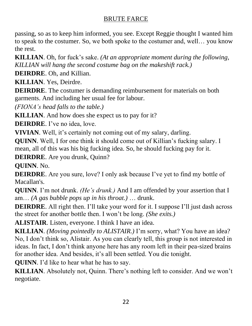passing, so as to keep him informed, you see. Except Reggie thought I wanted him to speak to the costumer. So, we both spoke to the costumer and, well… you know the rest.

**KILLIAN**. Oh, for fuck's sake. *(At an appropriate moment during the following, KILLIAN will hang the second costume bag on the makeshift rack.)*

**DEIRDRE**. Oh, and Killian.

**KILLIAN**. Yes, Deirdre.

**DEIRDRE**. The costumer is demanding reimbursement for materials on both garments. And including her usual fee for labour.

*(FIONA's head falls to the table.)*

**KILLIAN**. And how does she expect us to pay for it?

**DEIRDRE**. I've no idea, love.

**VIVIAN**. Well, it's certainly not coming out of my salary, darling.

**QUINN**. Well, I for one think it should come out of Killian's fucking salary. I mean, all of this was his big fucking idea. So, he should fucking pay for it.

**DEIRDRE**. Are you drunk, Quinn?

**QUINN**. No.

**DEIRDRE**. Are you sure, love? I only ask because I've yet to find my bottle of Macallan's.

**QUINN**. I'm not drunk. *(He's drunk.)* And I am offended by your assertion that I am… *(A gas bubble pops up in his throat.)* … drunk.

**DEIRDRE**. All right then. I'll take your word for it. I suppose I'll just dash across the street for another bottle then. I won't be long. *(She exits.)*

**ALISTAIR**. Listen, everyone. I think I have an idea.

**KILLIAN**. *(Moving pointedly to ALISTAIR.)* I'm sorry, what? You have an idea? No, I don't think so, Alistair. As you can clearly tell, this group is not interested in ideas. In fact, I don't think anyone here has any room left in their pea-sized brains for another idea. And besides, it's all been settled. You die tonight.

**QUINN**. I'd like to hear what he has to say.

**KILLIAN**. Absolutely not, Quinn. There's nothing left to consider. And we won't negotiate.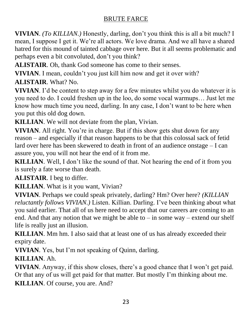**VIVIAN**. *(To KILLIAN.)* Honestly, darling, don't you think this is all a bit much? I mean, I suppose I get it. We're all actors. We love drama. And we all have a shared hatred for this mound of tainted cabbage over here. But it all seems problematic and perhaps even a bit convoluted, don't you think?

**ALISTAIR**. Oh, thank God someone has come to their senses.

**VIVIAN**. I mean, couldn't you just kill him now and get it over with?

**ALISTAIR**. What? No.

**VIVIAN**. I'd be content to step away for a few minutes whilst you do whatever it is you need to do. I could freshen up in the loo, do some vocal warmups… Just let me know how much time you need, darling. In any case, I don't want to be here when you put this old dog down.

**KILLIAN**. We will not deviate from the plan, Vivian.

**VIVIAN**. All right. You're in charge. But if this show gets shut down for any reason – and especially if that reason happens to be that this colossal sack of fetid lard over here has been skewered to death in front of an audience onstage – I can assure you, you will not hear the end of it from me.

**KILLIAN**. Well, I don't like the sound of that. Not hearing the end of it from you is surely a fate worse than death.

**ALISTAIR**. I beg to differ.

**KILLIAN**. What is it you want, Vivian?

**VIVIAN**. Perhaps we could speak privately, darling? Hm? Over here? *(KILLIAN reluctantly follows VIVIAN.)* Listen. Killian. Darling. I've been thinking about what you said earlier. That all of us here need to accept that our careers are coming to an end. And that any notion that we might be able to – in some way – extend our shelf life is really just an illusion.

**KILLIAN**. Mm hm. I also said that at least one of us has already exceeded their expiry date.

**VIVIAN**. Yes, but I'm not speaking of Quinn, darling.

## **KILLIAN**. Ah.

**VIVIAN**. Anyway, if this show closes, there's a good chance that I won't get paid. Or that any of us will get paid for that matter. But mostly I'm thinking about me. **KILLIAN**. Of course, you are. And?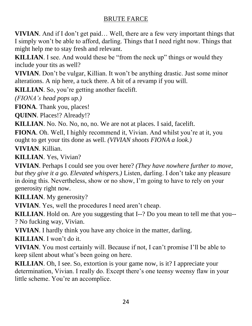**VIVIAN**. And if I don't get paid… Well, there are a few very important things that I simply won't be able to afford, darling. Things that I need right now. Things that might help me to stay fresh and relevant.

**KILLIAN**. I see. And would these be "from the neck up" things or would they include your tits as well?

**VIVIAN**. Don't be vulgar, Killian. It won't be anything drastic. Just some minor alterations. A nip here, a tuck there. A bit of a revamp if you will.

**KILLIAN**. So, you're getting another facelift.

*(FIONA's head pops up.)*

**FIONA**. Thank you, places!

**QUINN**. Places!? Already!?

**KILLIAN**. No. No. No, no, no. We are not at places. I said, facelift.

**FIONA**. Oh. Well, I highly recommend it, Vivian. And whilst you're at it, you ought to get your tits done as well. *(VIVIAN shoots FIONA a look.)*

**VIVIAN**. Killian.

**KILLIAN**. Yes, Vivian?

**VIVIAN**. Perhaps I could see you over here? *(They have nowhere further to move, but they give it a go. Elevated whispers.)* Listen, darling. I don't take any pleasure in doing this. Nevertheless, show or no show, I'm going to have to rely on your generosity right now.

**KILLIAN**. My generosity?

**VIVIAN**. Yes, well the procedures I need aren't cheap.

**KILLIAN**. Hold on. Are you suggesting that I--? Do you mean to tell me that you-- ? No fucking way, Vivian.

**VIVIAN**. I hardly think you have any choice in the matter, darling.

**KILLIAN**. I won't do it.

**VIVIAN**. You most certainly will. Because if not, I can't promise I'll be able to keep silent about what's been going on here.

**KILLIAN**. Oh, I see. So, extortion is your game now, is it? I appreciate your determination, Vivian. I really do. Except there's one teensy weensy flaw in your little scheme. You're an accomplice.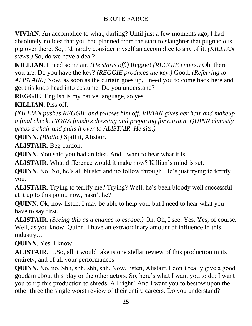**VIVIAN**. An accomplice to what, darling? Until just a few moments ago, I had absolutely no idea that you had planned from the start to slaughter that pugnacious pig over there. So, I'd hardly consider myself an accomplice to any of it. *(KILLIAN stews.)* So, do we have a deal?

**KILLIAN**. I need some air. *(He starts off.)* Reggie! *(REGGIE enters.)* Oh, there you are. Do you have the key? *(REGGIE produces the key.)* Good. *(Referring to ALISTAIR.)* Now, as soon as the curtain goes up, I need you to come back here and get this knob head into costume. Do you understand?

**REGGIE**. English is my native language, so yes.

**KILLIAN**. Piss off.

*(KILLIAN pushes REGGIE and follows him off. VIVIAN gives her hair and makeup a final check. FIONA finishes dressing and preparing for curtain. QUINN clumsily grabs a chair and pulls it over to ALISTAIR. He sits.)*

**QUINN**. *(Blotto.)* Spill it, Alistair.

**ALISTAIR**. Beg pardon.

**QUINN**. You said you had an idea. And I want to hear what it is.

**ALISTAIR**. What difference would it make now? Killian's mind is set.

**QUINN**. No. No, he's all bluster and no follow through. He's just trying to terrify you.

**ALISTAIR**. Trying to terrify me? Trying? Well, he's been bloody well successful at it up to this point, now, hasn't he?

**QUINN**. Ok, now listen. I may be able to help you, but I need to hear what you have to say first.

**ALISTAIR**. *(Seeing this as a chance to escape.)* Oh. Oh, I see. Yes. Yes, of course. Well, as you know, Quinn, I have an extraordinary amount of influence in this industry…

**QUINN**. Yes, I know.

**ALISTAIR**. …So, all it would take is one stellar review of this production in its entirety, and of all your performances--

**QUINN**. No, no. Shh, shh, shh, shh. Now, listen, Alistair. I don't really give a good goddam about this play or the other actors. So, here's what I want you to do: I want you to rip this production to shreds. All right? And I want you to bestow upon the other three the single worst review of their entire careers. Do you understand?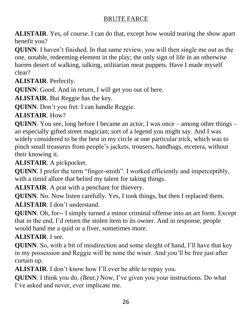**ALISTAIR**. Yes, of course. I can do that, except how would tearing the show apart benefit you?

**QUINN**. I haven't finished. In that same review, you will then single me out as the one, notable, redeeming element in the play; the only sign of life in an otherwise barren desert of walking, talking, utilitarian meat puppets. Have I made myself clear?

**ALISTAIR**. Perfectly.

**QUINN**. Good. And in return, I will get you out of here.

**ALISTAIR**. But Reggie has the key.

**QUINN**. Don't you fret. I can handle Reggie.

**ALISTAIR**. How?

**QUINN**. You see, long before I became an actor, I was once – among other things – an especially gifted street magician; sort of a legend you might say. And I was widely considered to be the best in my circle at one particular trick, which was to pinch small treasures from people's jackets, trousers, handbags, etcetera, without their knowing it.

**ALISTAIR**. A pickpocket.

**QUINN**. I prefer the term "finger-smith". I worked efficiently and imperceptibly, with a timid allure that belied my talent for taking things.

**ALISTAIR**. A prat with a penchant for thievery.

**QUINN**. No. Now listen carefully. Yes, I took things, but then I replaced them. **ALISTAIR**. I don't understand.

**QUINN**. Oh, for-- I simply turned a minor criminal offense into an art form. Except that in the end, I'd return the stolen item to its owner. And in response, people would hand me a quid or a fiver, sometimes more.

**ALISTAIR**. I see.

**QUINN**. So, with a bit of misdirection and some sleight of hand, I'll have that key in my possession and Reggie will be none the wiser. And you'll be free just after curtain up.

**ALISTAIR**. I don't know how I'll ever be able to repay you.

**QUINN**. I think you do. *(Beat.)* Now, I've given you your instructions. Do what I've asked and never, ever implicate me.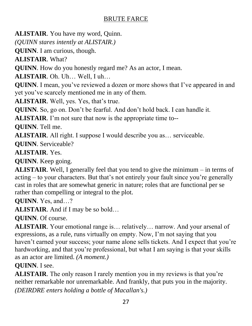**ALISTAIR**. You have my word, Quinn.

*(QUINN stares intently at ALISTAIR.)*

**QUINN**. I am curious, though.

**ALISTAIR**. What?

**QUINN**. How do you honestly regard me? As an actor, I mean.

**ALISTAIR**. Oh. Uh… Well, I uh…

**QUINN**. I mean, you've reviewed a dozen or more shows that I've appeared in and yet you've scarcely mentioned me in any of them.

**ALISTAIR**. Well, yes. Yes, that's true.

**QUINN**. So, go on. Don't be fearful. And don't hold back. I can handle it.

**ALISTAIR**. I'm not sure that now is the appropriate time to--

**QUINN**. Tell me.

**ALISTAIR**. All right. I suppose I would describe you as… serviceable.

**QUINN**. Serviceable?

**ALISTAIR**. Yes.

**QUINN**. Keep going.

**ALISTAIR**. Well, I generally feel that you tend to give the minimum – in terms of acting – to your characters. But that's not entirely your fault since you're generally cast in roles that are somewhat generic in nature; roles that are functional per se rather than compelling or integral to the plot.

**QUINN**. Yes, and…?

**ALISTAIR**. And if I may be so bold…

**QUINN**. Of course.

**ALISTAIR**. Your emotional range is… relatively… narrow. And your arsenal of expressions, as a rule, runs virtually on empty. Now, I'm not saying that you haven't earned your success; your name alone sells tickets. And I expect that you're hardworking, and that you're professional, but what I am saying is that your skills as an actor are limited. *(A moment.)*

**QUINN**. I see.

**ALISTAIR**. The only reason I rarely mention you in my reviews is that you're neither remarkable nor unremarkable. And frankly, that puts you in the majority. *(DEIRDRE enters holding a bottle of Macallan's.)*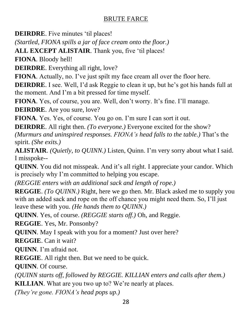**DEIRDRE**. Five minutes 'til places!

*(Startled, FIONA spills a jar of face cream onto the floor.)*

**ALL EXCEPT ALISTAIR**. Thank you, five 'til places!

**FIONA**. Bloody hell!

**DEIRDRE**. Everything all right, love?

**FIONA**. Actually, no. I've just spilt my face cream all over the floor here.

**DEIRDRE**. I see. Well, I'd ask Reggie to clean it up, but he's got his hands full at the moment. And I'm a bit pressed for time myself.

**FIONA**. Yes, of course, you are. Well, don't worry. It's fine. I'll manage. **DEIRDRE**. Are you sure, love?

**FIONA**. Yes. Yes, of course. You go on. I'm sure I can sort it out.

**DEIRDRE**. All right then. *(To everyone.)* Everyone excited for the show? *(Murmurs and uninspired responses. FIONA's head falls to the table.)* That's the spirit. *(She exits.)*

**ALISTAIR**. *(Quietly, to QUINN.)* Listen, Quinn. I'm very sorry about what I said. I misspoke--

**QUINN**. You did not misspeak. And it's all right. I appreciate your candor. Which is precisely why I'm committed to helping you escape.

*(REGGIE enters with an additional sack and length of rope.)*

**REGGIE**. *(To QUINN.)* Right, here we go then. Mr. Black asked me to supply you with an added sack and rope on the off chance you might need them. So, I'll just leave these with you. *(He hands them to QUINN.)*

**QUINN**. Yes, of course. *(REGGIE starts off.)* Oh, and Reggie.

**REGGIE**. Yes, Mr. Ponsonby?

**QUINN**. May I speak with you for a moment? Just over here?

**REGGIE**. Can it wait?

**QUINN**. I'm afraid not.

**REGGIE**. All right then. But we need to be quick.

**QUINN**. Of course.

*(QUINN starts off, followed by REGGIE. KILLIAN enters and calls after them.)*

**KILLIAN**. What are you two up to? We're nearly at places.

*(They're gone. FIONA's head pops up.)*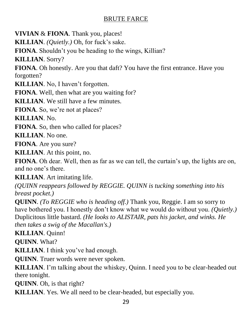**VIVIAN** & **FIONA**. Thank you, places!

**KILLIAN**. *(Quietly.)* Oh, for fuck's sake.

**FIONA**. Shouldn't you be heading to the wings, Killian?

**KILLIAN**. Sorry?

**FIONA**. Oh honestly. Are you that daft? You have the first entrance. Have you forgotten?

**KILLIAN**. No, I haven't forgotten.

**FIONA**. Well, then what are you waiting for?

**KILLIAN**. We still have a few minutes.

**FIONA**. So, we're not at places?

**KILLIAN**. No.

**FIONA**. So, then who called for places?

**KILLIAN**. No one.

**FIONA**. Are you sure?

**KILLIAN**. At this point, no.

**FIONA**. Oh dear. Well, then as far as we can tell, the curtain's up, the lights are on, and no one's there.

**KILLIAN**. Art imitating life.

*(QUINN reappears followed by REGGIE. QUINN is tucking something into his breast pocket.)*

**QUINN**. *(To REGGIE who is heading off.)* Thank you, Reggie. I am so sorry to have bothered you. I honestly don't know what we would do without you. *(Quietly.)* Duplicitous little bastard. *(He looks to ALISTAIR, pats his jacket, and winks. He then takes a swig of the Macallan's.)*

**KILLIAN**. Quinn!

**QUINN**. What?

**KILLIAN**. I think you've had enough.

**QUINN**. Truer words were never spoken.

**KILLIAN**. I'm talking about the whiskey, Quinn. I need you to be clear-headed out there tonight.

**QUINN**. Oh, is that right?

**KILLIAN**. Yes. We all need to be clear-headed, but especially you.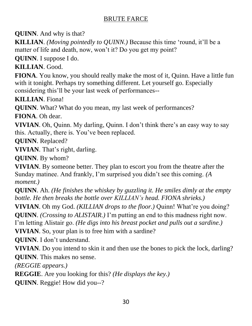**QUINN**. And why is that?

**KILLIAN**. *(Moving pointedly to QUINN.)* Because this time 'round, it'll be a matter of life and death, now, won't it? Do you get my point?

**QUINN**. I suppose I do.

**KILLIAN**. Good.

**FIONA**. You know, you should really make the most of it, Quinn. Have a little fun with it tonight. Perhaps try something different. Let yourself go. Especially considering this'll be your last week of performances--

**KILLIAN**. Fiona!

**QUINN**. What? What do you mean, my last week of performances?

**FIONA**. Oh dear.

**VIVIAN**. Oh, Quinn. My darling, Quinn. I don't think there's an easy way to say this. Actually, there is. You've been replaced.

**QUINN**. Replaced?

**VIVIAN**. That's right, darling.

**QUINN**. By whom?

**VIVIAN**. By someone better. They plan to escort you from the theatre after the Sunday matinee. And frankly, I'm surprised you didn't see this coming. *(A moment.)*

**QUINN**. Ah. *(He finishes the whiskey by guzzling it. He smiles dimly at the empty bottle. He then breaks the bottle over KILLIAN's head. FIONA shrieks.)*

**VIVIAN**. Oh my God. *(KILLIAN drops to the floor.)* Quinn! What're you doing?

**QUINN**. *(Crossing to ALISTAIR.)* I'm putting an end to this madness right now.

I'm letting Alistair go. *(He digs into his breast pocket and pulls out a sardine.)*

**VIVIAN**. So, your plan is to free him with a sardine?

**QUINN**. I don't understand.

**VIVIAN**. Do you intend to skin it and then use the bones to pick the lock, darling? **QUINN**. This makes no sense.

*(REGGIE appears.)*

**REGGIE**. Are you looking for this? *(He displays the key.)*

**QUINN**. Reggie! How did you--?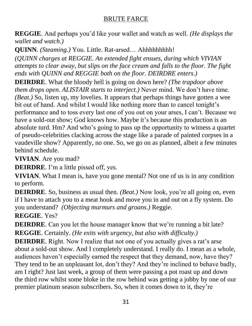**REGGIE**. And perhaps you'd like your wallet and watch as well. *(He displays the wallet and watch.)*

**QUINN**. *(Steaming.)* You. Little. Rat-arsed… Ahhhhhhhhh!

*(QUINN charges at REGGIE. An extended fight ensues, during which VIVIAN attempts to clear away, but slips on the face cream and falls to the floor. The fight ends with QUINN and REGGIE both on the floor. DEIRDRE enters.)*

**DEIRDRE**. What the bloody hell is going on down here? *(The trapdoor above them drops open. ALISTAIR starts to interject.)* Never mind. We don't have time. *(Beat.)* So, listen up, my lovelies. It appears that perhaps things have gotten a wee bit out of hand. And whilst I would like nothing more than to cancel tonight's performance and to toss every last one of you out on your arses, I can't. Because we have a sold-out show; God knows how. Maybe it's because this production is an absolute turd. Hm? And who's going to pass up the opportunity to witness a quartet of pseudo-celebrities clacking across the stage like a parade of painted corpses in a vaudeville show? Apparently, no one. So, we go on as planned, albeit a few minutes behind schedule.

**VIVIAN**. Are you mad?

**DEIRDRE**. I'm a little pissed off, yes.

**VIVIAN**. What I mean is, have you gone mental? Not one of us is in any condition to perform.

**DEIRDRE**. So, business as usual then. *(Beat.)* Now look, you're all going on, even if I have to attach you to a meat hook and move you in and out on a fly system. Do you understand? *(Objecting murmurs and groans.)* Reggie.

# **REGGIE**. Yes?

**DEIRDRE**. Can you let the house manager know that we're running a bit late? **REGGIE**. Certainly*. (He exits with urgency, but also with difficulty.)*

**DEIRDRE**. Right. Now I realize that not one of you actually gives a rat's arse about a sold-out show. And I completely understand. I really do. I mean as a whole, audiences haven't especially earned the respect that they demand, now, have they? They tend to be an unpleasant lot, don't they? And they're inclined to behave badly, am I right? Just last week, a group of them were passing a pot roast up and down the third row whilst some bloke in the row behind was getting a jobby by one of our premier platinum season subscribers. So, when it comes down to it, they're